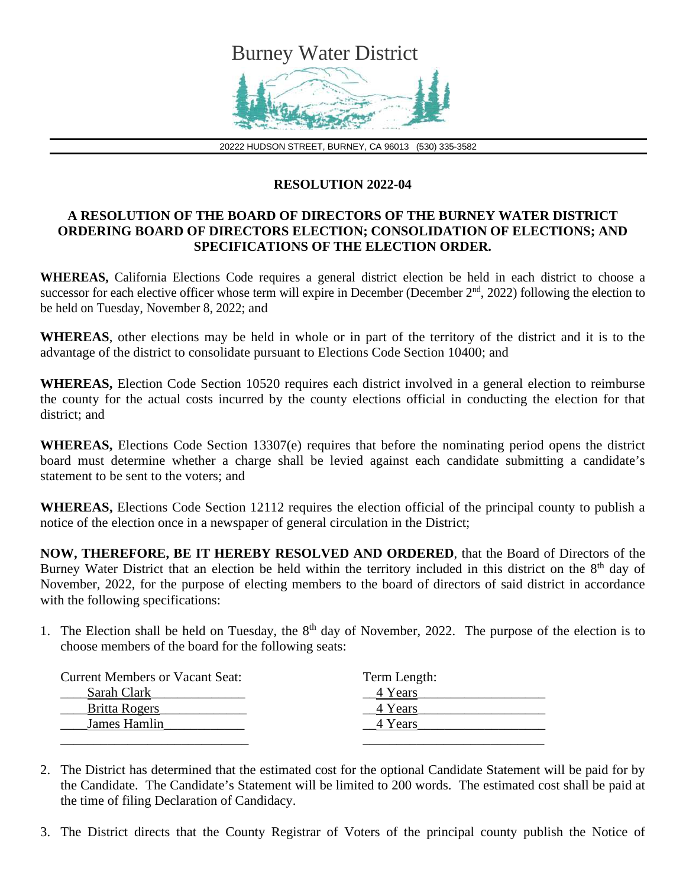

20222 HUDSON STREET, BURNEY, CA 96013 (530) 335-3582

## **RESOLUTION 2022-04**

## **A RESOLUTION OF THE BOARD OF DIRECTORS OF THE BURNEY WATER DISTRICT ORDERING BOARD OF DIRECTORS ELECTION; CONSOLIDATION OF ELECTIONS; AND SPECIFICATIONS OF THE ELECTION ORDER.**

**WHEREAS,** California Elections Code requires a general district election be held in each district to choose a successor for each elective officer whose term will expire in December (December  $2<sup>nd</sup>$ , 2022) following the election to be held on Tuesday, November 8, 2022; and

**WHEREAS**, other elections may be held in whole or in part of the territory of the district and it is to the advantage of the district to consolidate pursuant to Elections Code Section 10400; and

**WHEREAS,** Election Code Section 10520 requires each district involved in a general election to reimburse the county for the actual costs incurred by the county elections official in conducting the election for that district; and

**WHEREAS,** Elections Code Section 13307(e) requires that before the nominating period opens the district board must determine whether a charge shall be levied against each candidate submitting a candidate's statement to be sent to the voters; and

**WHEREAS,** Elections Code Section 12112 requires the election official of the principal county to publish a notice of the election once in a newspaper of general circulation in the District;

**NOW, THEREFORE, BE IT HEREBY RESOLVED AND ORDERED**, that the Board of Directors of the Burney Water District that an election be held within the territory included in this district on the 8<sup>th</sup> day of November, 2022, for the purpose of electing members to the board of directors of said district in accordance with the following specifications:

1. The Election shall be held on Tuesday, the  $8<sup>th</sup>$  day of November, 2022. The purpose of the election is to choose members of the board for the following seats:

| <b>Current Members or Vacant Seat:</b> | Term Length: |
|----------------------------------------|--------------|
| Sarah Clark                            | 4 Years      |
| Britta Rogers                          | 4 Years      |
| James Hamlin                           | 4 Years      |
|                                        |              |

2. The District has determined that the estimated cost for the optional Candidate Statement will be paid for by the Candidate. The Candidate's Statement will be limited to 200 words. The estimated cost shall be paid at the time of filing Declaration of Candidacy.

3. The District directs that the County Registrar of Voters of the principal county publish the Notice of